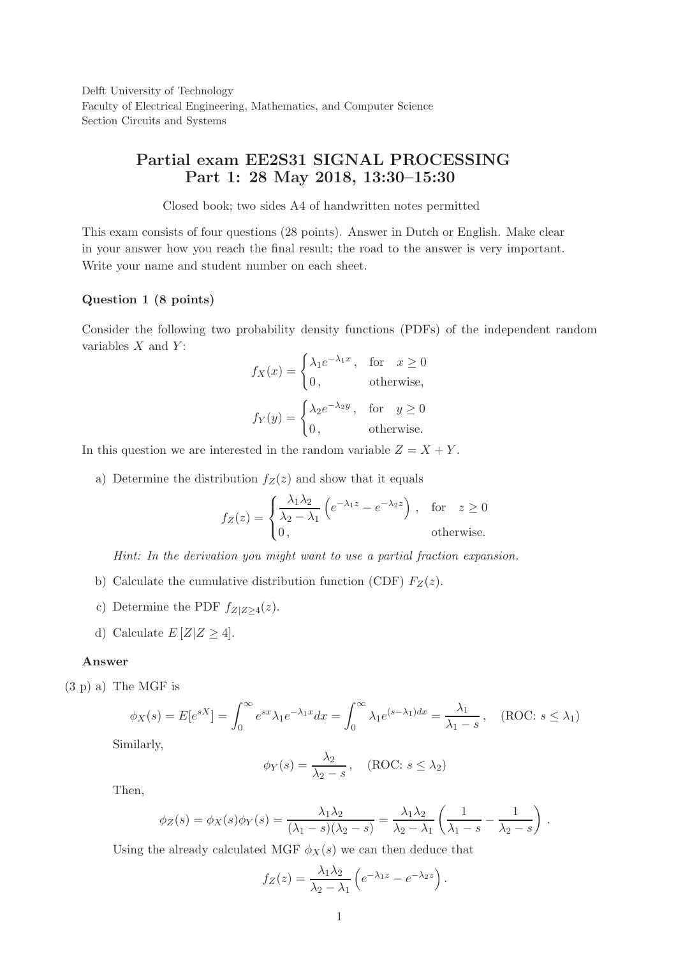Delft University of Technology Faculty of Electrical Engineering, Mathematics, and Computer Science Section Circuits and Systems

# Partial exam EE2S31 SIGNAL PROCESSING Part 1: 28 May 2018, 13:30–15:30

Closed book; two sides A4 of handwritten notes permitted

This exam consists of four questions (28 points). Answer in Dutch or English. Make clear in your answer how you reach the final result; the road to the answer is very important. Write your name and student number on each sheet.

### Question 1 (8 points)

Consider the following two probability density functions (PDFs) of the independent random variables  $X$  and  $Y$ :

$$
f_X(x) = \begin{cases} \lambda_1 e^{-\lambda_1 x}, & \text{for } x \ge 0 \\ 0, & \text{otherwise,} \end{cases}
$$

$$
f_Y(y) = \begin{cases} \lambda_2 e^{-\lambda_2 y}, & \text{for } y \ge 0 \\ 0, & \text{otherwise.} \end{cases}
$$

In this question we are interested in the random variable  $Z = X + Y$ .

a) Determine the distribution  $f_Z(z)$  and show that it equals

$$
f_Z(z) = \begin{cases} \frac{\lambda_1 \lambda_2}{\lambda_2 - \lambda_1} \left( e^{-\lambda_1 z} - e^{-\lambda_2 z} \right), & \text{for } z \ge 0\\ 0, & \text{otherwise.} \end{cases}
$$

*Hint: In the derivation you might want to use a partial fraction expansion.*

- b) Calculate the cumulative distribution function (CDF)  $F_Z(z)$ .
- c) Determine the PDF  $f_{Z|Z\geq4}(z)$ .
- d) Calculate  $E[Z|Z \geq 4]$ .

#### Answer

(3 p) a) The MGF is

$$
\phi_X(s) = E[e^{sX}] = \int_0^\infty e^{sx} \lambda_1 e^{-\lambda_1 x} dx = \int_0^\infty \lambda_1 e^{(s-\lambda_1)dx} = \frac{\lambda_1}{\lambda_1 - s}, \quad (\text{ROC: } s \le \lambda_1)
$$

Similarly,

$$
\phi_Y(s) = \frac{\lambda_2}{\lambda_2 - s}, \quad (\text{ROC: } s \le \lambda_2)
$$

Then,

$$
\phi_Z(s) = \phi_X(s)\phi_Y(s) = \frac{\lambda_1\lambda_2}{(\lambda_1 - s)(\lambda_2 - s)} = \frac{\lambda_1\lambda_2}{\lambda_2 - \lambda_1} \left(\frac{1}{\lambda_1 - s} - \frac{1}{\lambda_2 - s}\right).
$$

Using the already calculated MGF  $\phi_X(s)$  we can then deduce that

$$
f_Z(z) = \frac{\lambda_1 \lambda_2}{\lambda_2 - \lambda_1} \left( e^{-\lambda_1 z} - e^{-\lambda_2 z} \right).
$$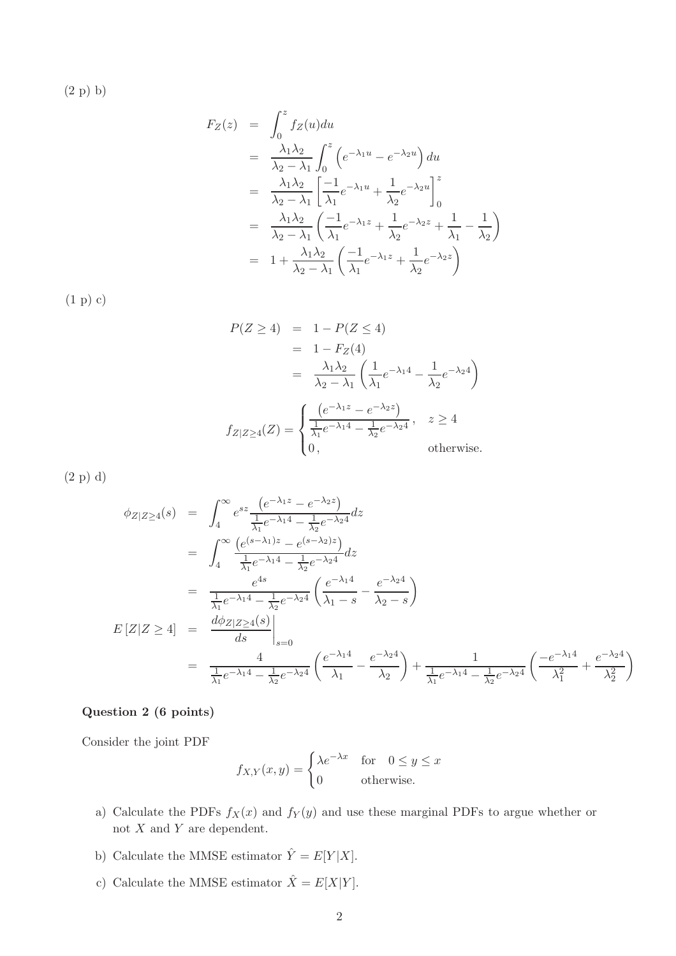(2 p) b)

$$
F_Z(z) = \int_0^z f_Z(u) du
$$
  
\n
$$
= \frac{\lambda_1 \lambda_2}{\lambda_2 - \lambda_1} \int_0^z \left( e^{-\lambda_1 u} - e^{-\lambda_2 u} \right) du
$$
  
\n
$$
= \frac{\lambda_1 \lambda_2}{\lambda_2 - \lambda_1} \left[ \frac{-1}{\lambda_1} e^{-\lambda_1 u} + \frac{1}{\lambda_2} e^{-\lambda_2 u} \right]_0^z
$$
  
\n
$$
= \frac{\lambda_1 \lambda_2}{\lambda_2 - \lambda_1} \left( \frac{-1}{\lambda_1} e^{-\lambda_1 z} + \frac{1}{\lambda_2} e^{-\lambda_2 z} + \frac{1}{\lambda_1} - \frac{1}{\lambda_2} \right)
$$
  
\n
$$
= 1 + \frac{\lambda_1 \lambda_2}{\lambda_2 - \lambda_1} \left( \frac{-1}{\lambda_1} e^{-\lambda_1 z} + \frac{1}{\lambda_2} e^{-\lambda_2 z} \right)
$$

(1 p) c)

$$
P(Z \ge 4) = 1 - P(Z \le 4)
$$
  
= 1 - F<sub>Z</sub>(4)  
=  $\frac{\lambda_1 \lambda_2}{\lambda_2 - \lambda_1} \left( \frac{1}{\lambda_1} e^{-\lambda_1 4} - \frac{1}{\lambda_2} e^{-\lambda_2 4} \right)$   

$$
f_{Z|Z \ge 4}(Z) = \begin{cases} \frac{(e^{-\lambda_1 z} - e^{-\lambda_2 z})}{\frac{1}{\lambda_1} e^{-\lambda_1 4} - \frac{1}{\lambda_2} e^{-\lambda_2 4}}, & z \ge 4 \\ 0, & \text{otherwise.} \end{cases}
$$

(2 p) d)

$$
\begin{split}\n\phi_{Z|Z\geq4}(s) &= \int_{4}^{\infty} e^{sz} \frac{\left(e^{-\lambda_1 z} - e^{-\lambda_2 z}\right)}{\frac{1}{\lambda_1} e^{-\lambda_1 4} - \frac{1}{\lambda_2} e^{-\lambda_2 4}} dz \\
&= \int_{4}^{\infty} \frac{\left(e^{(s-\lambda_1)z} - e^{(s-\lambda_2)z}\right)}{\frac{1}{\lambda_1} e^{-\lambda_1 4} - \frac{1}{\lambda_2} e^{-\lambda_2 4}} dz \\
&= \frac{e^{4s}}{\frac{1}{\lambda_1} e^{-\lambda_1 4} - \frac{1}{\lambda_2} e^{-\lambda_2 4}} \left(\frac{e^{-\lambda_1 4}}{\lambda_1 - s} - \frac{e^{-\lambda_2 4}}{\lambda_2 - s}\right) \\
E\left[Z|Z \geq 4\right] &= \left.\frac{d\phi_{Z|Z \geq 4}(s)}{ds}\right|_{s=0} \\
&= \left.\frac{4}{\frac{1}{\lambda_1} e^{-\lambda_1 4} - \frac{1}{\lambda_2} e^{-\lambda_2 4}} \left(\frac{e^{-\lambda_1 4}}{\lambda_1} - \frac{e^{-\lambda_2 4}}{\lambda_2}\right) + \frac{1}{\frac{1}{\lambda_1} e^{-\lambda_1 4} - \frac{1}{\lambda_2} e^{-\lambda_2 4}} \left(\frac{-e^{-\lambda_1 4}}{\lambda_1^2} + \frac{e^{-\lambda_2 4}}{\lambda_2^2}\right)\n\end{split}
$$

# Question 2 (6 points)

Consider the joint PDF

$$
f_{X,Y}(x,y) = \begin{cases} \lambda e^{-\lambda x} & \text{for} \quad 0 \le y \le x \\ 0 & \text{otherwise.} \end{cases}
$$

- a) Calculate the PDFs  $f_X(x)$  and  $f_Y(y)$  and use these marginal PDFs to argue whether or not  $X$  and  $Y$  are dependent.
- b) Calculate the MMSE estimator  $\hat{Y}=E[Y|X].$
- c) Calculate the MMSE estimator  $\hat{X} = E[X|Y]$ .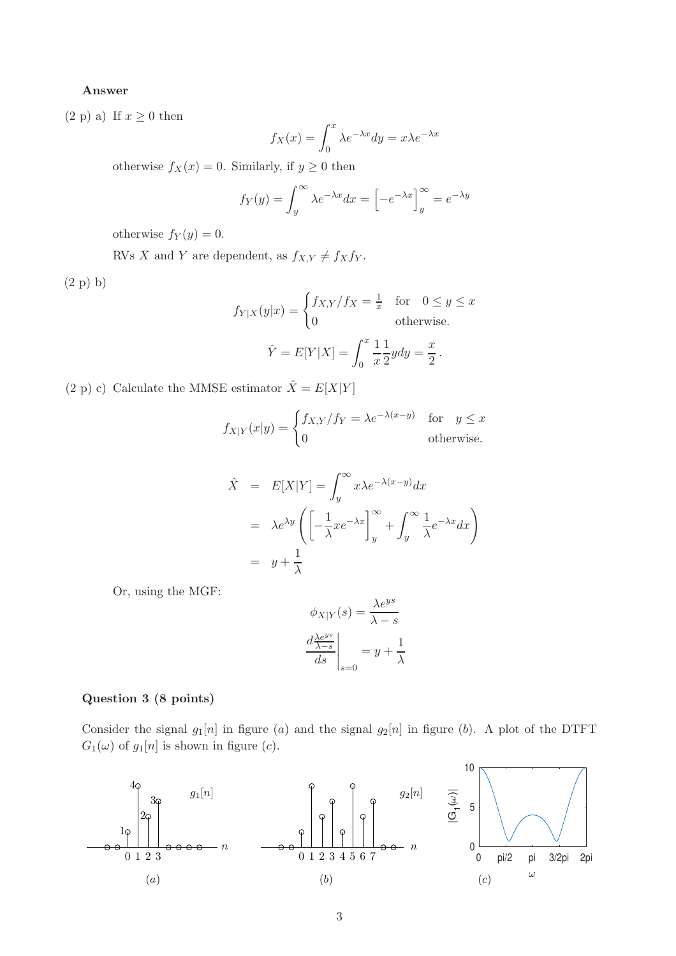## Answer

 $(2 p) a)$  If  $x \geq 0$  then

$$
f_X(x) = \int_0^x \lambda e^{-\lambda x} dy = x\lambda e^{-\lambda x}
$$

otherwise  $f_X(x) = 0$ . Similarly, if  $y \ge 0$  then

$$
f_Y(y) = \int_y^{\infty} \lambda e^{-\lambda x} dx = \left[ -e^{-\lambda x} \right]_y^{\infty} = e^{-\lambda y}
$$

otherwise  $f_Y(y) = 0$ .

RVs X and Y are dependent, as  $f_{X,Y} \neq f_X f_Y$ .

(2 p) b)

$$
f_{Y|X}(y|x) = \begin{cases} f_{X,Y}/fx = \frac{1}{x} & \text{for} \quad 0 \le y \le x\\ 0 & \text{otherwise.} \end{cases}
$$

$$
\hat{Y} = E[Y|X] = \int_0^x \frac{1}{x} \frac{1}{2} y dy = \frac{x}{2}.
$$

(2 p) c) Calculate the MMSE estimator  $\hat{X}=E[X|Y]$ 

$$
f_{X|Y}(x|y) = \begin{cases} f_{X,Y}/f_Y = \lambda e^{-\lambda(x-y)} & \text{for} \quad y \le x \\ 0 & \text{otherwise.} \end{cases}
$$

$$
\hat{X} = E[X|Y] = \int_{y}^{\infty} x\lambda e^{-\lambda(x-y)} dx
$$

$$
= \lambda e^{\lambda y} \left( \left[ -\frac{1}{\lambda} x e^{-\lambda x} \right]_{y}^{\infty} + \int_{y}^{\infty} \frac{1}{\lambda} e^{-\lambda x} dx \right)
$$

$$
= y + \frac{1}{\lambda}
$$

Or, using the MGF:

$$
\phi_{X|Y}(s) = \frac{\lambda e^{ys}}{\lambda - s}
$$

$$
\left. \frac{d \frac{\lambda e^{ys}}{\lambda - s}}{ds} \right|_{s=0} = y + \frac{1}{\lambda}
$$

#### Question 3 (8 points)

Consider the signal  $g_1[n]$  in figure (a) and the signal  $g_2[n]$  in figure (b). A plot of the DTFT  $G_1(\omega)$  of  $g_1[n]$  is shown in figure (c).

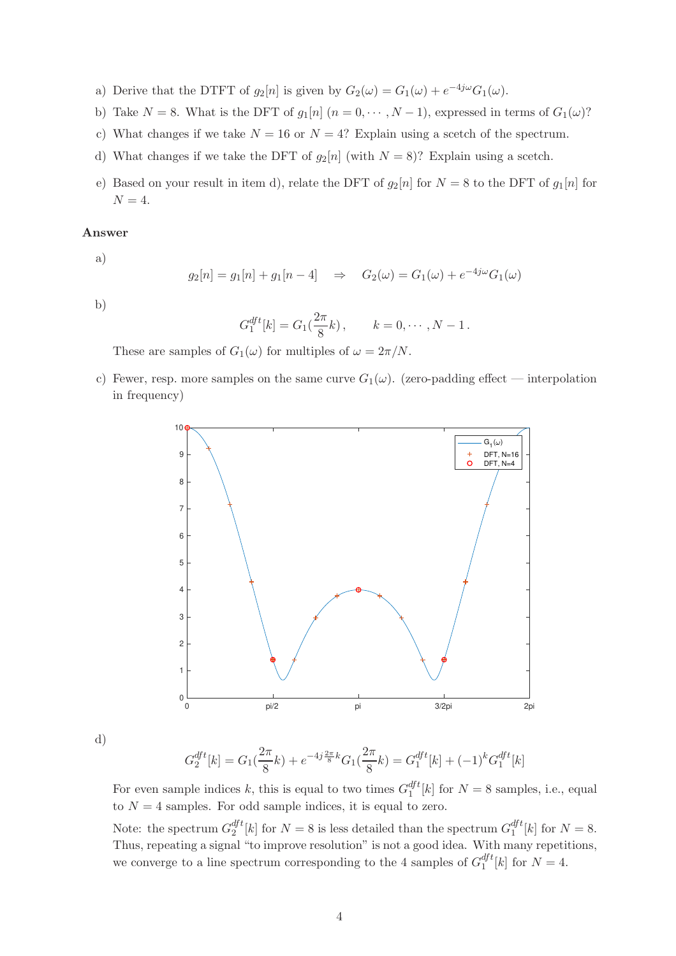- a) Derive that the DTFT of  $g_2[n]$  is given by  $G_2(\omega) = G_1(\omega) + e^{-4j\omega} G_1(\omega)$ .
- b) Take  $N = 8$ . What is the DFT of  $g_1[n]$   $(n = 0, \dots, N-1)$ , expressed in terms of  $G_1(\omega)$ ?
- c) What changes if we take  $N = 16$  or  $N = 4$ ? Explain using a scetch of the spectrum.
- d) What changes if we take the DFT of  $g_2[n]$  (with  $N = 8$ )? Explain using a scetch.
- e) Based on your result in item d), relate the DFT of  $g_2[n]$  for  $N = 8$  to the DFT of  $g_1[n]$  for  $N = 4$ .

## Answer

a)

$$
g_2[n] = g_1[n] + g_1[n-4] \Rightarrow G_2(\omega) = G_1(\omega) + e^{-4j\omega}G_1(\omega)
$$

b)

$$
G_1^{dft}[k] = G_1(\frac{2\pi}{8}k), \qquad k = 0, \cdots, N-1.
$$

These are samples of  $G_1(\omega)$  for multiples of  $\omega = 2\pi/N$ .

c) Fewer, resp. more samples on the same curve  $G_1(\omega)$ . (zero-padding effect — interpolation in frequency)



d)

$$
G_2^{dft}[k] = G_1(\frac{2\pi}{8}k) + e^{-4j\frac{2\pi}{8}k}G_1(\frac{2\pi}{8}k) = G_1^{dft}[k] + (-1)^k G_1^{dft}[k]
$$

For even sample indices k, this is equal to two times  $G_1^{dft}$  $_1^{a}$ <sup> $l$ </sup>[k] for  $N = 8$  samples, i.e., equal to  $N = 4$  samples. For odd sample indices, it is equal to zero.

Note: the spectrum  $G_2^{dft}$  $\frac{df}{2}[k]$  for  $N = 8$  is less detailed than the spectrum  $G_1^{dft}$  $_1^{a}$ <sup> $j$ </sup><sup> $\iota$ </sup> $[k]$  for  $N = 8$ . Thus, repeating a signal "to improve resolution" is not a good idea. With many repetitions, we converge to a line spectrum corresponding to the 4 samples of  $G_1^{dft}$  $_1^{ay}$ <sup>t</sup>[k] for  $N=4$ .